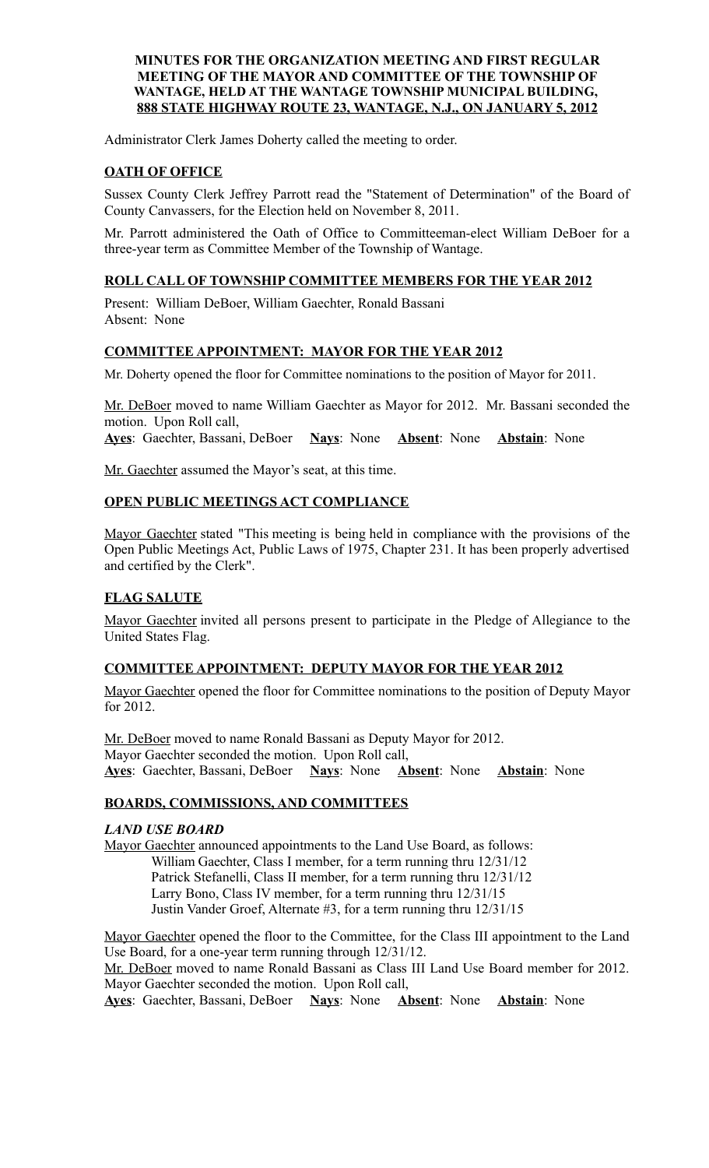### **MINUTES FOR THE ORGANIZATION MEETING AND FIRST REGULAR MEETING OF THE MAYOR AND COMMITTEE OF THE TOWNSHIP OF WANTAGE, HELD AT THE WANTAGE TOWNSHIP MUNICIPAL BUILDING, 888 STATE HIGHWAY ROUTE 23, WANTAGE, N.J., ON JANUARY 5, 2012**

Administrator Clerk James Doherty called the meeting to order.

## **OATH OF OFFICE**

Sussex County Clerk Jeffrey Parrott read the "Statement of Determination" of the Board of County Canvassers, for the Election held on November 8, 2011.

Mr. Parrott administered the Oath of Office to Committeeman-elect William DeBoer for a three-year term as Committee Member of the Township of Wantage.

## **ROLL CALL OF TOWNSHIP COMMITTEE MEMBERS FOR THE YEAR 2012**

Present: William DeBoer, William Gaechter, Ronald Bassani Absent: None

## **COMMITTEE APPOINTMENT: MAYOR FOR THE YEAR 2012**

Mr. Doherty opened the floor for Committee nominations to the position of Mayor for 2011.

Mr. DeBoer moved to name William Gaechter as Mayor for 2012. Mr. Bassani seconded the motion. Upon Roll call, **Ayes**: Gaechter, Bassani, DeBoer **Nays**: None **Absent**: None **Abstain**: None

Mr. Gaechter assumed the Mayor's seat, at this time.

## **OPEN PUBLIC MEETINGS ACT COMPLIANCE**

Mayor Gaechter stated "This meeting is being held in compliance with the provisions of the Open Public Meetings Act, Public Laws of 1975, Chapter 231. It has been properly advertised and certified by the Clerk".

# **FLAG SALUTE**

Mayor Gaechter invited all persons present to participate in the Pledge of Allegiance to the United States Flag.

# **COMMITTEE APPOINTMENT: DEPUTY MAYOR FOR THE YEAR 2012**

Mayor Gaechter opened the floor for Committee nominations to the position of Deputy Mayor for 2012.

Mr. DeBoer moved to name Ronald Bassani as Deputy Mayor for 2012. Mayor Gaechter seconded the motion. Upon Roll call, **Ayes**: Gaechter, Bassani, DeBoer **Nays**: None **Absent**: None **Abstain**: None

# **BOARDS, COMMISSIONS, AND COMMITTEES**

## *LAND USE BOARD*

Mayor Gaechter announced appointments to the Land Use Board, as follows: William Gaechter, Class I member, for a term running thru 12/31/12 Patrick Stefanelli, Class II member, for a term running thru 12/31/12 Larry Bono, Class IV member, for a term running thru 12/31/15 Justin Vander Groef, Alternate #3, for a term running thru 12/31/15

Mayor Gaechter opened the floor to the Committee, for the Class III appointment to the Land Use Board, for a one-year term running through 12/31/12.

Mr. DeBoer moved to name Ronald Bassani as Class III Land Use Board member for 2012. Mayor Gaechter seconded the motion. Upon Roll call,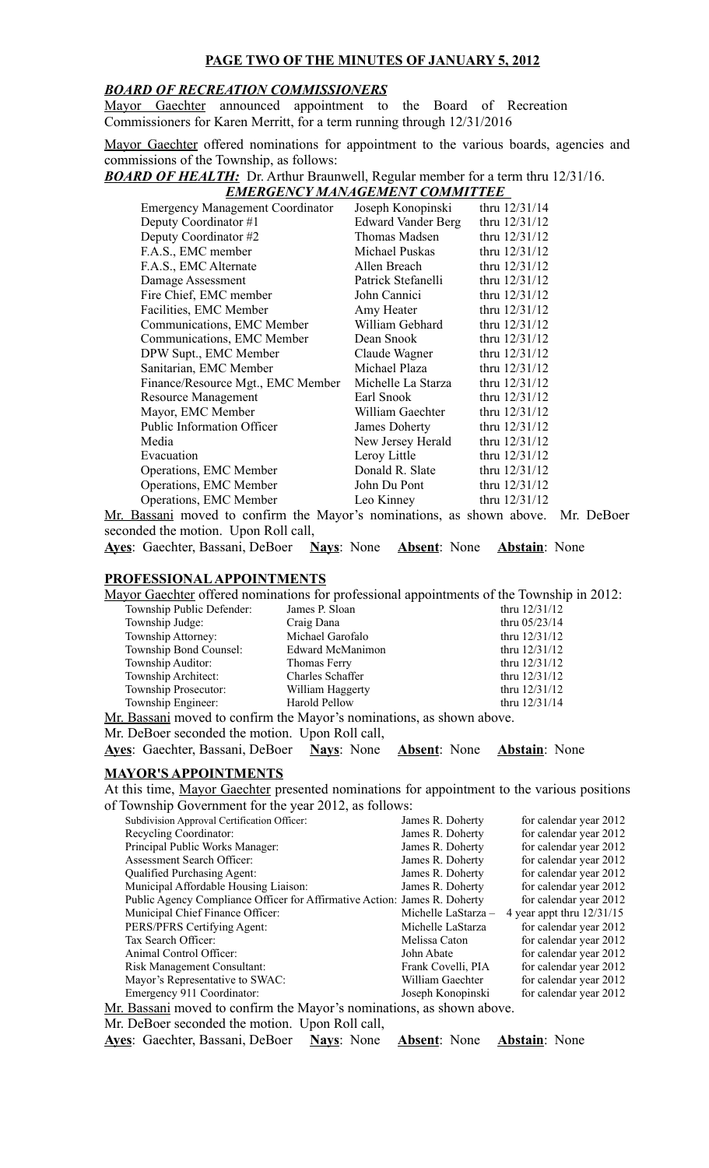## **PAGE TWO OF THE MINUTES OF JANUARY 5, 2012**

#### *BOARD OF RECREATION COMMISSIONERS*

Mayor Gaechter announced appointment to the Board of Recreation Commissioners for Karen Merritt, for a term running through 12/31/2016

Mayor Gaechter offered nominations for appointment to the various boards, agencies and commissions of the Township, as follows:

*BOARD OF HEALTH:* Dr. Arthur Braunwell, Regular member for a term thru 12/31/16.

| <b>EMERGENCY MANAGEMENT COMMITTEE</b> |
|---------------------------------------|
|                                       |

| <b>Emergency Management Coordinator</b> | Joseph Konopinski         | thru 12/31/14   |
|-----------------------------------------|---------------------------|-----------------|
| Deputy Coordinator #1                   | <b>Edward Vander Berg</b> | thru 12/31/12   |
| Deputy Coordinator #2                   | Thomas Madsen             | thru 12/31/12   |
| F.A.S., EMC member                      | Michael Puskas            | thru 12/31/12   |
| F.A.S., EMC Alternate                   | Allen Breach              | thru $12/31/12$ |
| Damage Assessment                       | Patrick Stefanelli        | thru 12/31/12   |
| Fire Chief, EMC member                  | John Cannici              | thru 12/31/12   |
| Facilities, EMC Member                  | Amy Heater                | thru 12/31/12   |
| Communications, EMC Member              | William Gebhard           | thru 12/31/12   |
| Communications, EMC Member              | Dean Snook                | thru 12/31/12   |
| DPW Supt., EMC Member                   | Claude Wagner             | thru 12/31/12   |
| Sanitarian, EMC Member                  | Michael Plaza             | thru $12/31/12$ |
| Finance/Resource Mgt., EMC Member       | Michelle La Starza        | thru $12/31/12$ |
| <b>Resource Management</b>              | Earl Snook                | thru 12/31/12   |
| Mayor, EMC Member                       | William Gaechter          | thru $12/31/12$ |
| <b>Public Information Officer</b>       | James Doherty             | thru $12/31/12$ |
| Media                                   | New Jersey Herald         | thru $12/31/12$ |
| Evacuation                              | Leroy Little              | thru 12/31/12   |
| Operations, EMC Member                  | Donald R. Slate           | thru $12/31/12$ |
| Operations, EMC Member                  | John Du Pont              | thru $12/31/12$ |
| Operations, EMC Member                  | Leo Kinney                | thru $12/31/12$ |
|                                         |                           |                 |

Mr. Bassani moved to confirm the Mayor's nominations, as shown above. Mr. DeBoer seconded the motion. Upon Roll call,

|  |  | Ayes: Gaechter, Bassani, DeBoer Nays: None Absent: None Abstain: None |  |  |  |  |  |  |  |
|--|--|-----------------------------------------------------------------------|--|--|--|--|--|--|--|
|--|--|-----------------------------------------------------------------------|--|--|--|--|--|--|--|

## **PROFESSIONAL APPOINTMENTS**

Mayor Gaechter offered nominations for professional appointments of the Township in 2012:

| Township Public Defender:                                             | James P. Sloan       | thru 12/31/12   |  |  |
|-----------------------------------------------------------------------|----------------------|-----------------|--|--|
| Township Judge:                                                       | Craig Dana           | thru $05/23/14$ |  |  |
| Township Attorney:                                                    | Michael Garofalo     | thru 12/31/12   |  |  |
| Township Bond Counsel:                                                | Edward McManimon     | thru 12/31/12   |  |  |
| Township Auditor:                                                     | Thomas Ferry         | thru $12/31/12$ |  |  |
| Township Architect:                                                   | Charles Schaffer     | thru $12/31/12$ |  |  |
| Township Prosecutor:                                                  | William Haggerty     | thru $12/31/12$ |  |  |
| Township Engineer:                                                    | <b>Harold Pellow</b> | thru $12/31/14$ |  |  |
| Mr. Bassani moved to confirm the Mayor's nominations, as shown above. |                      |                 |  |  |

Mr. DeBoer seconded the motion. Upon Roll call,

**Ayes**: Gaechter, Bassani, DeBoer **Nays**: None **Absent**: None **Abstain**: None

#### **MAYOR'S APPOINTMENTS**

At this time, Mayor Gaechter presented nominations for appointment to the various positions of Township Government for the year 2012, as follows:

| Subdivision Approval Certification Officer:                               | James R. Doherty    | for calendar year 2012      |
|---------------------------------------------------------------------------|---------------------|-----------------------------|
| Recycling Coordinator:                                                    | James R. Doherty    | for calendar year 2012      |
| Principal Public Works Manager:                                           | James R. Doherty    | for calendar year 2012      |
| Assessment Search Officer:                                                | James R. Doherty    | for calendar year 2012      |
| Qualified Purchasing Agent:                                               | James R. Doherty    | for calendar year 2012      |
| Municipal Affordable Housing Liaison:                                     | James R. Doherty    | for calendar year 2012      |
| Public Agency Compliance Officer for Affirmative Action: James R. Doherty |                     | for calendar year 2012      |
| Municipal Chief Finance Officer:                                          | Michelle LaStarza - | 4 year appt thru $12/31/15$ |
| PERS/PFRS Certifying Agent:                                               | Michelle LaStarza   | for calendar year 2012      |
| Tax Search Officer:                                                       | Melissa Caton       | for calendar year 2012      |
| Animal Control Officer:                                                   | John Abate          | for calendar year 2012      |
| <b>Risk Management Consultant:</b>                                        | Frank Covelli, PIA  | for calendar year 2012      |
| Mayor's Representative to SWAC:                                           | William Gaechter    | for calendar year 2012      |
| Emergency 911 Coordinator:                                                | Joseph Konopinski   | for calendar year 2012      |
| Ar Bassani moved to confirm the Mayor's nominations as shown above        |                     |                             |

Mr. Bassani moved to confirm the Mayor's nominations, as shown above.

Mr. DeBoer seconded the motion. Upon Roll call,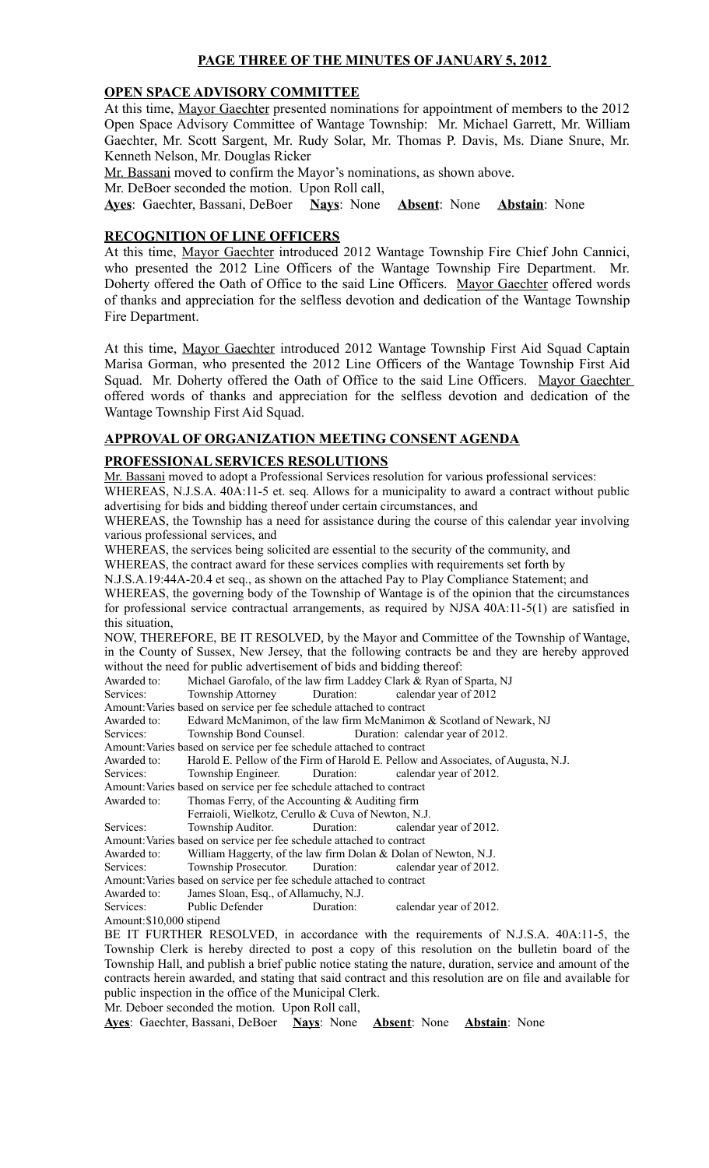## **PAGE THREE OF THE MINUTES OF JANUARY 5, 2012**

#### **OPEN SPACE ADVISORY COMMITTEE**

At this time, Mayor Gaechter presented nominations for appointment of members to the 2012 Open Space Advisory Committee of Wantage Township: Mr. Michael Garrett, Mr. William Gaechter, Mr. Scott Sargent, Mr. Rudy Solar, Mr. Thomas P. Davis, Ms. Diane Snure, Mr. Kenneth Nelson, Mr. Douglas Ricker

Mr. Bassani moved to confirm the Mayor's nominations, as shown above.

Mr. DeBoer seconded the motion. Upon Roll call,

**Ayes**: Gaechter, Bassani, DeBoer **Nays**: None **Absent**: None **Abstain**: None

#### **RECOGNITION OF LINE OFFICERS**

At this time, Mayor Gaechter introduced 2012 Wantage Township Fire Chief John Cannici, who presented the 2012 Line Officers of the Wantage Township Fire Department. Mr. Doherty offered the Oath of Office to the said Line Officers. Mayor Gaechter offered words of thanks and appreciation for the selfless devotion and dedication of the Wantage Township Fire Department.

At this time, Mayor Gaechter introduced 2012 Wantage Township First Aid Squad Captain Marisa Gorman, who presented the 2012 Line Officers of the Wantage Township First Aid Squad. Mr. Doherty offered the Oath of Office to the said Line Officers. Mayor Gaechter offered words of thanks and appreciation for the selfless devotion and dedication of the Wantage Township First Aid Squad.

## **APPROVAL OF ORGANIZATION MEETING CONSENT AGENDA**

#### **PROFESSIONAL SERVICES RESOLUTIONS**

Mr. Bassani moved to adopt a Professional Services resolution for various professional services: WHEREAS, N.J.S.A. 40A:11-5 et. seq. Allows for a municipality to award a contract without public advertising for bids and bidding thereof under certain circumstances, and

WHEREAS, the Township has a need for assistance during the course of this calendar year involving various professional services, and

WHEREAS, the services being solicited are essential to the security of the community, and

WHEREAS, the contract award for these services complies with requirements set forth by

N.J.S.A.19:44A-20.4 et seq., as shown on the attached Pay to Play Compliance Statement; and

WHEREAS, the governing body of the Township of Wantage is of the opinion that the circumstances for professional service contractual arrangements, as required by NJSA 40A:11-5(1) are satisfied in this situation,

NOW, THEREFORE, BE IT RESOLVED, by the Mayor and Committee of the Township of Wantage, in the County of Sussex, New Jersey, that the following contracts be and they are hereby approved without the need for public advertisement of bids and bidding thereof:

Awarded to: Michael Garofalo, of the law firm Laddey Clark & Ryan of Sparta, NJ<br>Services: Township Attorney Duration: calendar year of 2012

Duration: calendar year of 2012

Amount:Varies based on service per fee schedule attached to contract

Awarded to: Edward McManimon, of the law firm McManimon & Scotland of Newark, NJ

Services: Township Bond Counsel. Duration: calendar year of 2012.

Amount:Varies based on service per fee schedule attached to contract

- Awarded to: Harold E. Pellow of the Firm of Harold E. Pellow and Associates, of Augusta, N.J.
- Services: Township Engineer. Duration: calendar year of 2012.
- Amount:Varies based on service per fee schedule attached to contract
- Awarded to: Thomas Ferry, of the Accounting & Auditing firm
- Ferraioli, Wielkotz, Cerullo & Cuva of Newton, N.J.

Services: Township Auditor. Duration: calendar year of 2012.

Amount:Varies based on service per fee schedule attached to contract

Awarded to: William Haggerty, of the law firm Dolan & Dolan of Newton, N.J. Services: Township Prosecutor. Duration: calendar year of 2012.

Amount:Varies based on service per fee schedule attached to contract

Awarded to: James Sloan, Esq., of Allamuchy, N.J.

Services: Public Defender Duration: calendar year of 2012.

Amount:\$10,000 stipend

BE IT FURTHER RESOLVED, in accordance with the requirements of N.J.S.A. 40A:11-5, the Township Clerk is hereby directed to post a copy of this resolution on the bulletin board of the Township Hall, and publish a brief public notice stating the nature, duration, service and amount of the contracts herein awarded, and stating that said contract and this resolution are on file and available for public inspection in the office of the Municipal Clerk.

Mr. Deboer seconded the motion. Upon Roll call,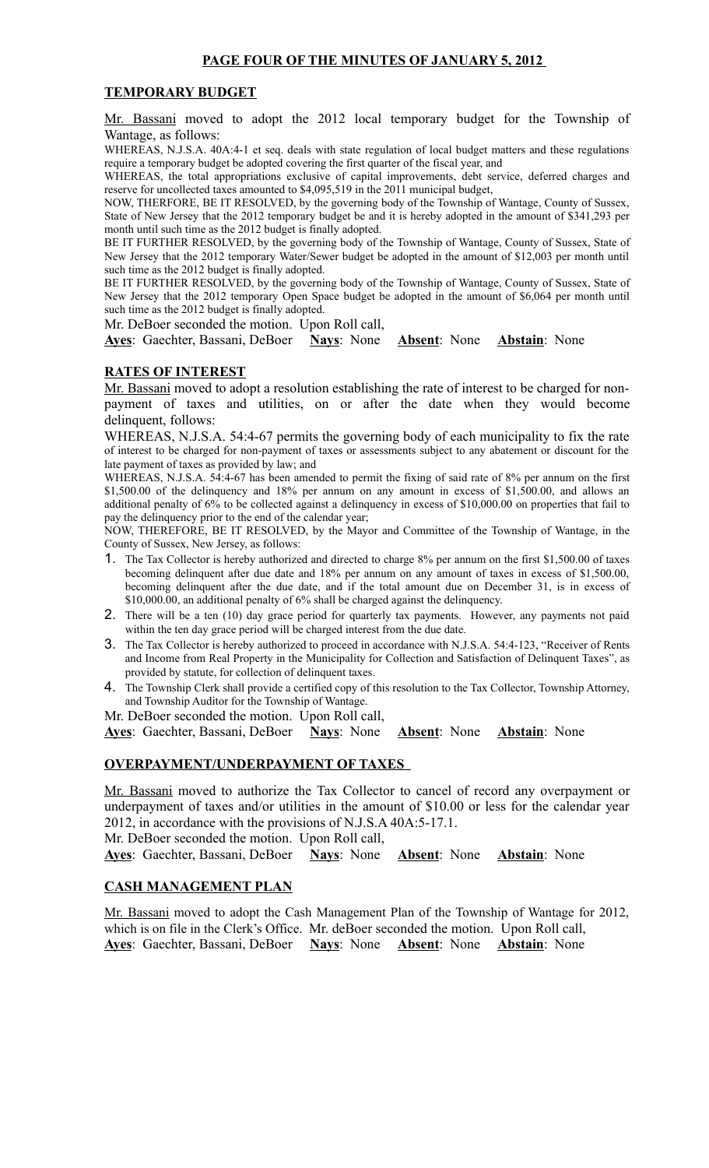### **TEMPORARY BUDGET**

Mr. Bassani moved to adopt the 2012 local temporary budget for the Township of Wantage, as follows:

WHEREAS, N.J.S.A. 40A:4-1 et seq. deals with state regulation of local budget matters and these regulations require a temporary budget be adopted covering the first quarter of the fiscal year, and

WHEREAS, the total appropriations exclusive of capital improvements, debt service, deferred charges and reserve for uncollected taxes amounted to \$4,095,519 in the 2011 municipal budget,

NOW, THERFORE, BE IT RESOLVED, by the governing body of the Township of Wantage, County of Sussex, State of New Jersey that the 2012 temporary budget be and it is hereby adopted in the amount of \$341,293 per month until such time as the 2012 budget is finally adopted.

BE IT FURTHER RESOLVED, by the governing body of the Township of Wantage, County of Sussex, State of New Jersey that the 2012 temporary Water/Sewer budget be adopted in the amount of \$12,003 per month until such time as the 2012 budget is finally adopted.

BE IT FURTHER RESOLVED, by the governing body of the Township of Wantage, County of Sussex, State of New Jersey that the 2012 temporary Open Space budget be adopted in the amount of \$6,064 per month until such time as the 2012 budget is finally adopted.

Mr. DeBoer seconded the motion. Upon Roll call,

**Ayes**: Gaechter, Bassani, DeBoer **Nays**: None **Absent**: None **Abstain**: None

#### **RATES OF INTEREST**

Mr. Bassani moved to adopt a resolution establishing the rate of interest to be charged for nonpayment of taxes and utilities, on or after the date when they would become delinquent, follows:

WHEREAS, N.J.S.A. 54:4-67 permits the governing body of each municipality to fix the rate of interest to be charged for non-payment of taxes or assessments subject to any abatement or discount for the late payment of taxes as provided by law; and

WHEREAS, N.J.S.A. 54:4-67 has been amended to permit the fixing of said rate of 8% per annum on the first \$1,500.00 of the delinquency and 18% per annum on any amount in excess of \$1,500.00, and allows an additional penalty of 6% to be collected against a delinquency in excess of \$10,000.00 on properties that fail to pay the delinquency prior to the end of the calendar year;

NOW, THEREFORE, BE IT RESOLVED, by the Mayor and Committee of the Township of Wantage, in the County of Sussex, New Jersey, as follows:

- 1. The Tax Collector is hereby authorized and directed to charge 8% per annum on the first \$1,500.00 of taxes becoming delinquent after due date and 18% per annum on any amount of taxes in excess of \$1,500.00, becoming delinquent after the due date, and if the total amount due on December 31, is in excess of \$10,000.00, an additional penalty of 6% shall be charged against the delinquency.
- 2. There will be a ten (10) day grace period for quarterly tax payments. However, any payments not paid within the ten day grace period will be charged interest from the due date.
- 3. The Tax Collector is hereby authorized to proceed in accordance with N.J.S.A. 54:4-123, "Receiver of Rents and Income from Real Property in the Municipality for Collection and Satisfaction of Delinquent Taxes", as provided by statute, for collection of delinquent taxes.
- 4. The Township Clerk shall provide a certified copy of this resolution to the Tax Collector, Township Attorney, and Township Auditor for the Township of Wantage.

Mr. DeBoer seconded the motion. Upon Roll call,

**Ayes**: Gaechter, Bassani, DeBoer **Nays**: None **Absent**: None **Abstain**: None

### **OVERPAYMENT/UNDERPAYMENT OF TAXES**

Mr. Bassani moved to authorize the Tax Collector to cancel of record any overpayment or underpayment of taxes and/or utilities in the amount of \$10.00 or less for the calendar year 2012, in accordance with the provisions of N.J.S.A 40A:5-17.1.

Mr. DeBoer seconded the motion. Upon Roll call,

**Ayes**: Gaechter, Bassani, DeBoer **Nays**: None **Absent**: None **Abstain**: None

## **CASH MANAGEMENT PLAN**

Mr. Bassani moved to adopt the Cash Management Plan of the Township of Wantage for 2012, which is on file in the Clerk's Office. Mr. deBoer seconded the motion. Upon Roll call, **Ayes**: Gaechter, Bassani, DeBoer **Nays**: None **Absent**: None **Abstain**: None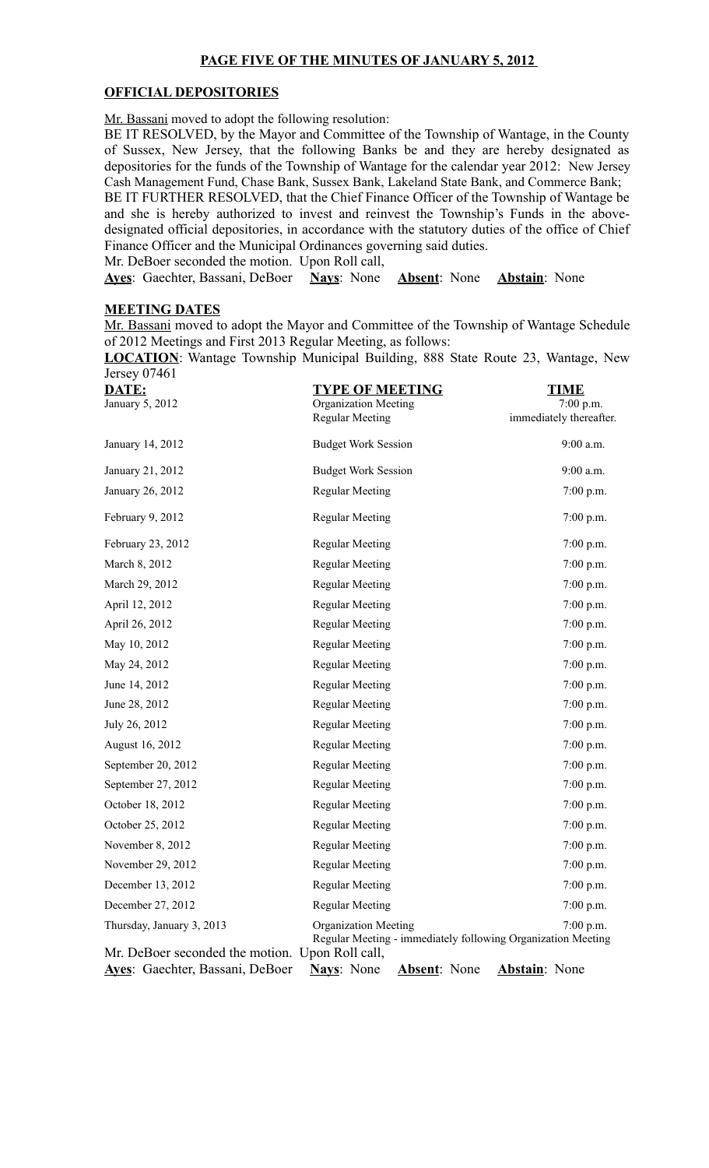## **PAGE FIVE OF THE MINUTES OF JANUARY 5, 2012**

#### **OFFICIAL DEPOSITORIES**

Mr. Bassani moved to adopt the following resolution:

BE IT RESOLVED, by the Mayor and Committee of the Township of Wantage, in the County of Sussex, New Jersey, that the following Banks be and they are hereby designated as depositories for the funds of the Township of Wantage for the calendar year 2012: New Jersey Cash Management Fund, Chase Bank, Sussex Bank, Lakeland State Bank, and Commerce Bank;

BE IT FURTHER RESOLVED, that the Chief Finance Officer of the Township of Wantage be and she is hereby authorized to invest and reinvest the Township's Funds in the abovedesignated official depositories, in accordance with the statutory duties of the office of Chief Finance Officer and the Municipal Ordinances governing said duties.

Mr. DeBoer seconded the motion. Upon Roll call,

**Ayes**: Gaechter, Bassani, DeBoer **Nays**: None **Absent**: None **Abstain**: None

#### **MEETING DATES**

Mr. Bassani moved to adopt the Mayor and Committee of the Township of Wantage Schedule of 2012 Meetings and First 2013 Regular Meeting, as follows:

**LOCATION**: Wantage Township Municipal Building, 888 State Route 23, Wantage, New Jersey 07461

| DATE:                                           | <b>TYPE OF MEETING</b>                                                                      | <b>TIME</b>             |
|-------------------------------------------------|---------------------------------------------------------------------------------------------|-------------------------|
| January 5, 2012                                 | Organization Meeting                                                                        | 7:00 p.m.               |
|                                                 | <b>Regular Meeting</b>                                                                      | immediately thereafter. |
| January 14, 2012                                | <b>Budget Work Session</b>                                                                  | 9:00 a.m.               |
| January 21, 2012                                | <b>Budget Work Session</b>                                                                  | 9:00 a.m.               |
| January 26, 2012                                | <b>Regular Meeting</b>                                                                      | $7:00$ p.m.             |
| February 9, 2012                                | <b>Regular Meeting</b>                                                                      | $7:00$ p.m.             |
| February 23, 2012                               | <b>Regular Meeting</b>                                                                      | $7:00$ p.m.             |
| March 8, 2012                                   | <b>Regular Meeting</b>                                                                      | $7:00$ p.m.             |
| March 29, 2012                                  | <b>Regular Meeting</b>                                                                      | $7:00$ p.m.             |
| April 12, 2012                                  | <b>Regular Meeting</b>                                                                      | 7:00 p.m.               |
| April 26, 2012                                  | <b>Regular Meeting</b>                                                                      | $7:00$ p.m.             |
| May 10, 2012                                    | <b>Regular Meeting</b>                                                                      | $7:00$ p.m.             |
| May 24, 2012                                    | <b>Regular Meeting</b>                                                                      | $7:00$ p.m.             |
| June 14, 2012                                   | <b>Regular Meeting</b>                                                                      | $7:00$ p.m.             |
| June 28, 2012                                   | <b>Regular Meeting</b>                                                                      | $7:00$ p.m.             |
| July 26, 2012                                   | <b>Regular Meeting</b>                                                                      | $7:00$ p.m.             |
| August 16, 2012                                 | <b>Regular Meeting</b>                                                                      | $7:00$ p.m.             |
| September 20, 2012                              | <b>Regular Meeting</b>                                                                      | $7:00$ p.m.             |
| September 27, 2012                              | <b>Regular Meeting</b>                                                                      | $7:00$ p.m.             |
| October 18, 2012                                | <b>Regular Meeting</b>                                                                      | 7:00 p.m.               |
| October 25, 2012                                | <b>Regular Meeting</b>                                                                      | $7:00$ p.m.             |
| November 8, 2012                                | <b>Regular Meeting</b>                                                                      | 7:00 p.m.               |
| November 29, 2012                               | <b>Regular Meeting</b>                                                                      | $7:00$ p.m.             |
| December 13, 2012                               | <b>Regular Meeting</b>                                                                      | 7:00 p.m.               |
| December 27, 2012                               | <b>Regular Meeting</b>                                                                      | 7:00 p.m.               |
| Thursday, January 3, 2013                       | <b>Organization Meeting</b><br>Regular Meeting - immediately following Organization Meeting | $7:00$ p.m.             |
| Mr. DeBoer seconded the motion. Upon Roll call, |                                                                                             |                         |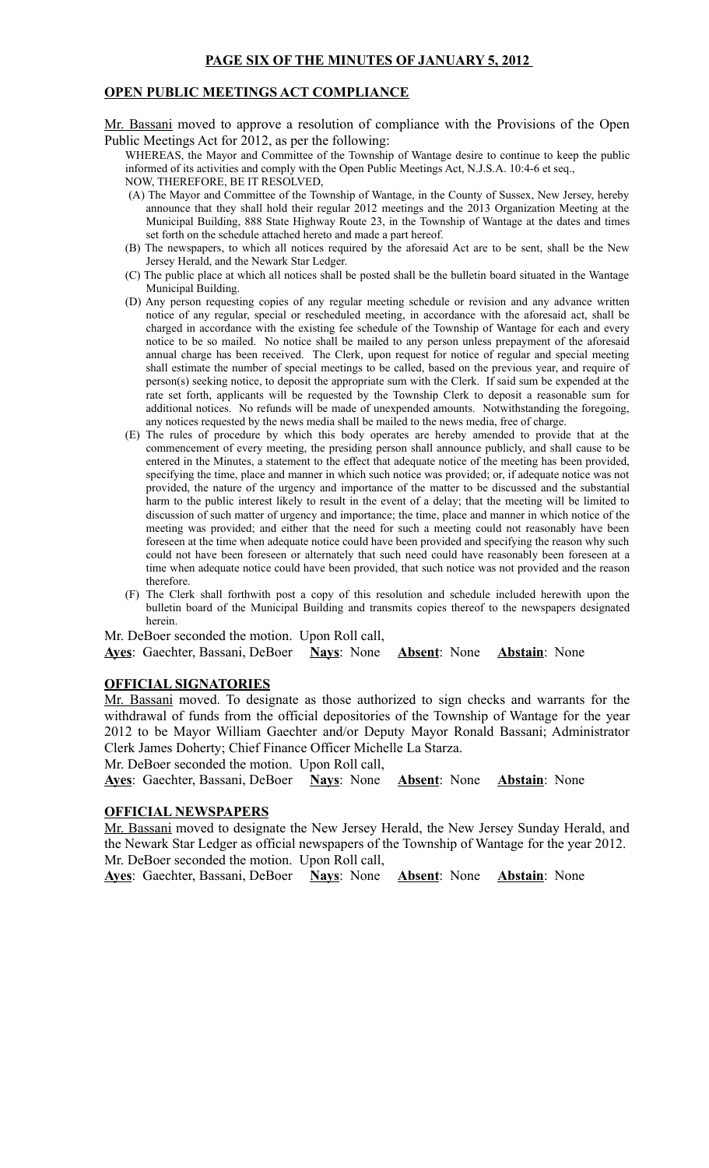## **PAGE SIX OF THE MINUTES OF JANUARY 5, 2012**

### **OPEN PUBLIC MEETINGS ACT COMPLIANCE**

Mr. Bassani moved to approve a resolution of compliance with the Provisions of the Open Public Meetings Act for 2012, as per the following:

WHEREAS, the Mayor and Committee of the Township of Wantage desire to continue to keep the public informed of its activities and comply with the Open Public Meetings Act, N.J.S.A. 10:4-6 et seq., NOW, THEREFORE, BE IT RESOLVED,

- (A) The Mayor and Committee of the Township of Wantage, in the County of Sussex, New Jersey, hereby announce that they shall hold their regular 2012 meetings and the 2013 Organization Meeting at the Municipal Building, 888 State Highway Route 23, in the Township of Wantage at the dates and times set forth on the schedule attached hereto and made a part hereof.
- (B) The newspapers, to which all notices required by the aforesaid Act are to be sent, shall be the New Jersey Herald, and the Newark Star Ledger.
- (C) The public place at which all notices shall be posted shall be the bulletin board situated in the Wantage Municipal Building.
- (D) Any person requesting copies of any regular meeting schedule or revision and any advance written notice of any regular, special or rescheduled meeting, in accordance with the aforesaid act, shall be charged in accordance with the existing fee schedule of the Township of Wantage for each and every notice to be so mailed. No notice shall be mailed to any person unless prepayment of the aforesaid annual charge has been received. The Clerk, upon request for notice of regular and special meeting shall estimate the number of special meetings to be called, based on the previous year, and require of person(s) seeking notice, to deposit the appropriate sum with the Clerk. If said sum be expended at the rate set forth, applicants will be requested by the Township Clerk to deposit a reasonable sum for additional notices. No refunds will be made of unexpended amounts. Notwithstanding the foregoing, any notices requested by the news media shall be mailed to the news media, free of charge.
- (E) The rules of procedure by which this body operates are hereby amended to provide that at the commencement of every meeting, the presiding person shall announce publicly, and shall cause to be entered in the Minutes, a statement to the effect that adequate notice of the meeting has been provided, specifying the time, place and manner in which such notice was provided; or, if adequate notice was not provided, the nature of the urgency and importance of the matter to be discussed and the substantial harm to the public interest likely to result in the event of a delay; that the meeting will be limited to discussion of such matter of urgency and importance; the time, place and manner in which notice of the meeting was provided; and either that the need for such a meeting could not reasonably have been foreseen at the time when adequate notice could have been provided and specifying the reason why such could not have been foreseen or alternately that such need could have reasonably been foreseen at a time when adequate notice could have been provided, that such notice was not provided and the reason therefore.
- (F) The Clerk shall forthwith post a copy of this resolution and schedule included herewith upon the bulletin board of the Municipal Building and transmits copies thereof to the newspapers designated herein.

Mr. DeBoer seconded the motion. Upon Roll call,

**Ayes**: Gaechter, Bassani, DeBoer **Nays**: None **Absent**: None **Abstain**: None

#### **OFFICIAL SIGNATORIES**

Mr. Bassani moved. To designate as those authorized to sign checks and warrants for the withdrawal of funds from the official depositories of the Township of Wantage for the year 2012 to be Mayor William Gaechter and/or Deputy Mayor Ronald Bassani; Administrator Clerk James Doherty; Chief Finance Officer Michelle La Starza.

Mr. DeBoer seconded the motion. Upon Roll call,

**Ayes**: Gaechter, Bassani, DeBoer **Nays**: None **Absent**: None **Abstain**: None

#### **OFFICIAL NEWSPAPERS**

Mr. Bassani moved to designate the New Jersey Herald, the New Jersey Sunday Herald, and the Newark Star Ledger as official newspapers of the Township of Wantage for the year 2012. Mr. DeBoer seconded the motion. Upon Roll call,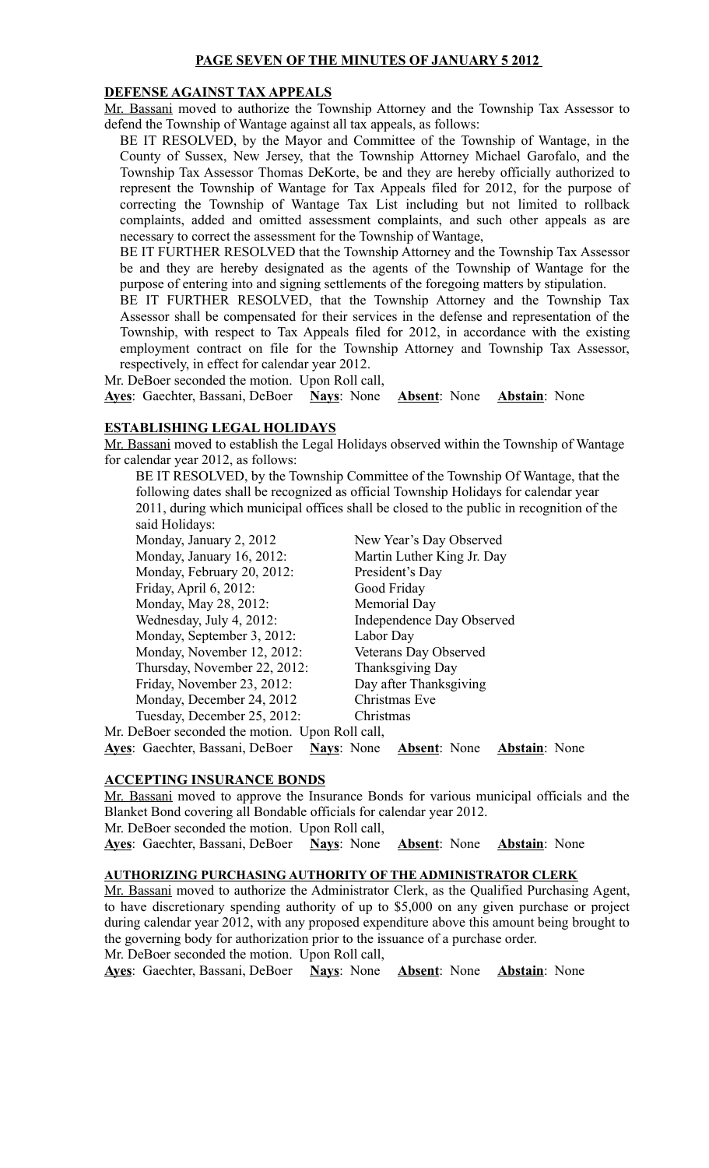## **PAGE SEVEN OF THE MINUTES OF JANUARY 5 2012**

#### **DEFENSE AGAINST TAX APPEALS**

Mr. Bassani moved to authorize the Township Attorney and the Township Tax Assessor to defend the Township of Wantage against all tax appeals, as follows:

BE IT RESOLVED, by the Mayor and Committee of the Township of Wantage, in the County of Sussex, New Jersey, that the Township Attorney Michael Garofalo, and the Township Tax Assessor Thomas DeKorte, be and they are hereby officially authorized to represent the Township of Wantage for Tax Appeals filed for 2012, for the purpose of correcting the Township of Wantage Tax List including but not limited to rollback complaints, added and omitted assessment complaints, and such other appeals as are necessary to correct the assessment for the Township of Wantage,

BE IT FURTHER RESOLVED that the Township Attorney and the Township Tax Assessor be and they are hereby designated as the agents of the Township of Wantage for the purpose of entering into and signing settlements of the foregoing matters by stipulation.

BE IT FURTHER RESOLVED, that the Township Attorney and the Township Tax Assessor shall be compensated for their services in the defense and representation of the Township, with respect to Tax Appeals filed for 2012, in accordance with the existing employment contract on file for the Township Attorney and Township Tax Assessor, respectively, in effect for calendar year 2012.

Mr. DeBoer seconded the motion. Upon Roll call,

**Ayes**: Gaechter, Bassani, DeBoer **Nays**: None **Absent**: None **Abstain**: None

## **ESTABLISHING LEGAL HOLIDAYS**

Mr. Bassani moved to establish the Legal Holidays observed within the Township of Wantage for calendar year 2012, as follows:

BE IT RESOLVED, by the Township Committee of the Township Of Wantage, that the following dates shall be recognized as official Township Holidays for calendar year 2011, during which municipal offices shall be closed to the public in recognition of the said Holidays:

Monday, January 2, 2012 New Year's Day Observed Monday, January 16, 2012: Martin Luther King Jr. Day Monday, February 20, 2012: President's Day Friday, April 6, 2012: Good Friday Monday, May 28, 2012: Memorial Day Wednesday, July 4, 2012: Independence Day Observed Monday, September 3, 2012: Labor Day Monday, November 12, 2012: Veterans Day Observed Thursday, November 22, 2012: Thanksgiving Day Friday, November 23, 2012: Day after Thanksgiving Monday, December 24, 2012 Christmas Eve Tuesday, December 25, 2012: Christmas

Mr. DeBoer seconded the motion. Upon Roll call,

**Ayes**: Gaechter, Bassani, DeBoer **Nays**: None **Absent**: None **Abstain**: None

## **ACCEPTING INSURANCE BONDS**

Mr. Bassani moved to approve the Insurance Bonds for various municipal officials and the Blanket Bond covering all Bondable officials for calendar year 2012.

Mr. DeBoer seconded the motion. Upon Roll call,

**Ayes**: Gaechter, Bassani, DeBoer **Nays**: None **Absent**: None **Abstain**: None

#### **AUTHORIZING PURCHASING AUTHORITY OF THE ADMINISTRATOR CLERK**

Mr. Bassani moved to authorize the Administrator Clerk, as the Qualified Purchasing Agent, to have discretionary spending authority of up to \$5,000 on any given purchase or project during calendar year 2012, with any proposed expenditure above this amount being brought to the governing body for authorization prior to the issuance of a purchase order.

Mr. DeBoer seconded the motion. Upon Roll call,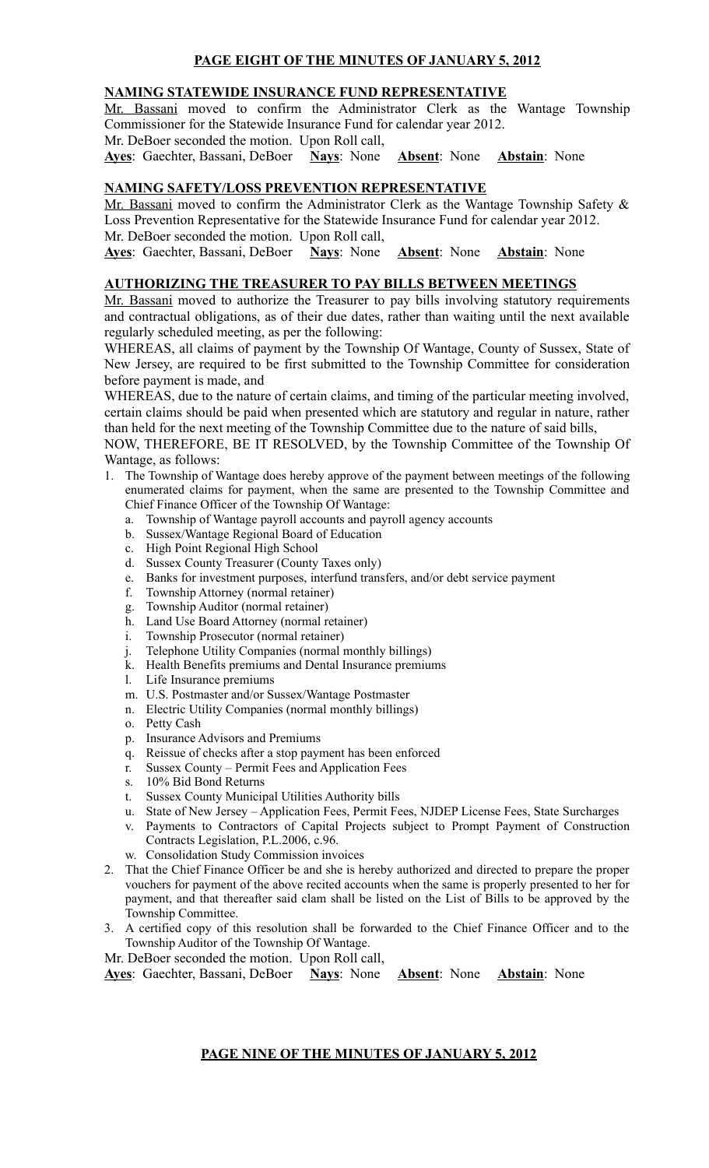# **PAGE EIGHT OF THE MINUTES OF JANUARY 5, 2012**

## **NAMING STATEWIDE INSURANCE FUND REPRESENTATIVE**

Mr. Bassani moved to confirm the Administrator Clerk as the Wantage Township Commissioner for the Statewide Insurance Fund for calendar year 2012.

Mr. DeBoer seconded the motion. Upon Roll call,

**Ayes**: Gaechter, Bassani, DeBoer **Nays**: None **Absent**: None **Abstain**: None

## **NAMING SAFETY/LOSS PREVENTION REPRESENTATIVE**

Mr. Bassani moved to confirm the Administrator Clerk as the Wantage Township Safety & Loss Prevention Representative for the Statewide Insurance Fund for calendar year 2012. Mr. DeBoer seconded the motion. Upon Roll call,

**Ayes**: Gaechter, Bassani, DeBoer **Nays**: None **Absent**: None **Abstain**: None

## **AUTHORIZING THE TREASURER TO PAY BILLS BETWEEN MEETINGS**

Mr. Bassani moved to authorize the Treasurer to pay bills involving statutory requirements and contractual obligations, as of their due dates, rather than waiting until the next available regularly scheduled meeting, as per the following:

WHEREAS, all claims of payment by the Township Of Wantage, County of Sussex, State of New Jersey, are required to be first submitted to the Township Committee for consideration before payment is made, and

WHEREAS, due to the nature of certain claims, and timing of the particular meeting involved, certain claims should be paid when presented which are statutory and regular in nature, rather than held for the next meeting of the Township Committee due to the nature of said bills,

NOW, THEREFORE, BE IT RESOLVED, by the Township Committee of the Township Of Wantage, as follows:

- 1. The Township of Wantage does hereby approve of the payment between meetings of the following enumerated claims for payment, when the same are presented to the Township Committee and Chief Finance Officer of the Township Of Wantage:
	- a. Township of Wantage payroll accounts and payroll agency accounts
	- b. Sussex/Wantage Regional Board of Education
	- c. High Point Regional High School
	- d. Sussex County Treasurer (County Taxes only)
	- e. Banks for investment purposes, interfund transfers, and/or debt service payment
	- f. Township Attorney (normal retainer)
	- g. Township Auditor (normal retainer)
	- h. Land Use Board Attorney (normal retainer)
	- i. Township Prosecutor (normal retainer)
	- j. Telephone Utility Companies (normal monthly billings)
	- k. Health Benefits premiums and Dental Insurance premiums
	- l. Life Insurance premiums
	- m. U.S. Postmaster and/or Sussex/Wantage Postmaster
	- n. Electric Utility Companies (normal monthly billings)
	- o. Petty Cash
	- p. Insurance Advisors and Premiums
	- q. Reissue of checks after a stop payment has been enforced
	- r. Sussex County Permit Fees and Application Fees
	- s. 10% Bid Bond Returns
	- t. Sussex County Municipal Utilities Authority bills
	- u. State of New Jersey Application Fees, Permit Fees, NJDEP License Fees, State Surcharges
	- v. Payments to Contractors of Capital Projects subject to Prompt Payment of Construction Contracts Legislation, P.L.2006, c.96.
	- w. Consolidation Study Commission invoices
- 2. That the Chief Finance Officer be and she is hereby authorized and directed to prepare the proper vouchers for payment of the above recited accounts when the same is properly presented to her for payment, and that thereafter said clam shall be listed on the List of Bills to be approved by the Township Committee.
- 3. A certified copy of this resolution shall be forwarded to the Chief Finance Officer and to the Township Auditor of the Township Of Wantage.
- Mr. DeBoer seconded the motion. Upon Roll call,

**Ayes**: Gaechter, Bassani, DeBoer **Nays**: None **Absent**: None **Abstain**: None

## **PAGE NINE OF THE MINUTES OF JANUARY 5, 2012**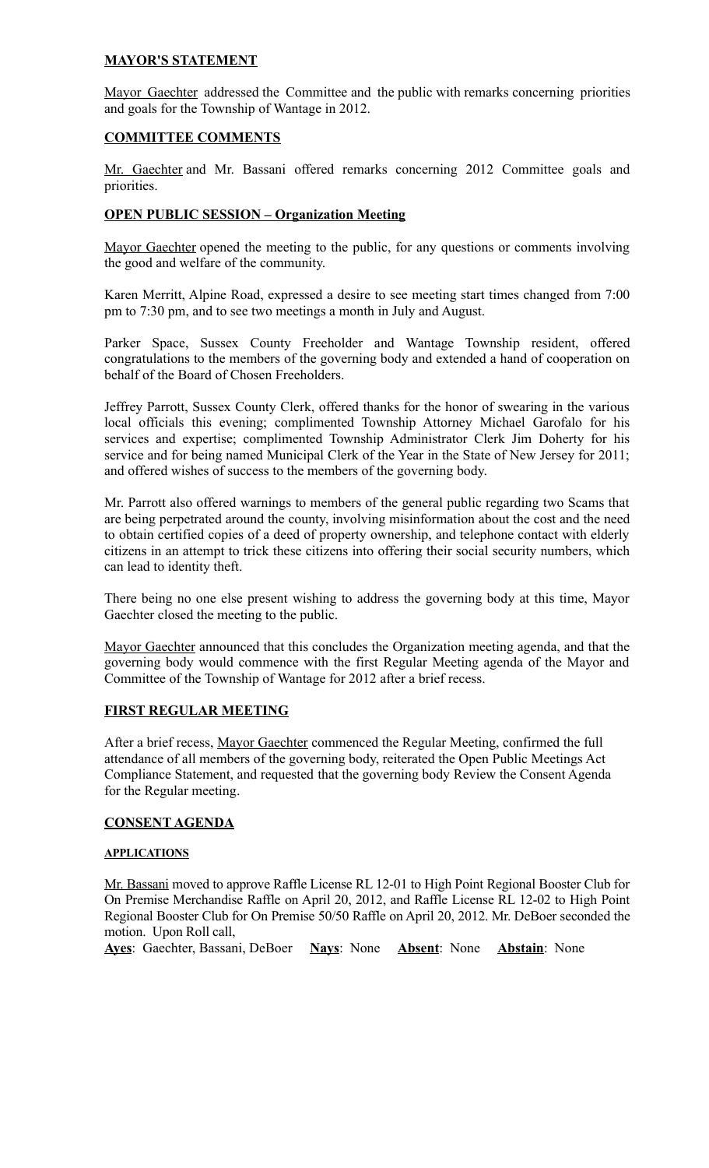## **MAYOR'S STATEMENT**

Mayor Gaechter addressed the Committee and the public with remarks concerning priorities and goals for the Township of Wantage in 2012.

## **COMMITTEE COMMENTS**

Mr. Gaechter and Mr. Bassani offered remarks concerning 2012 Committee goals and priorities.

## **OPEN PUBLIC SESSION – Organization Meeting**

Mayor Gaechter opened the meeting to the public, for any questions or comments involving the good and welfare of the community.

Karen Merritt, Alpine Road, expressed a desire to see meeting start times changed from 7:00 pm to 7:30 pm, and to see two meetings a month in July and August.

Parker Space, Sussex County Freeholder and Wantage Township resident, offered congratulations to the members of the governing body and extended a hand of cooperation on behalf of the Board of Chosen Freeholders.

Jeffrey Parrott, Sussex County Clerk, offered thanks for the honor of swearing in the various local officials this evening; complimented Township Attorney Michael Garofalo for his services and expertise; complimented Township Administrator Clerk Jim Doherty for his service and for being named Municipal Clerk of the Year in the State of New Jersey for 2011; and offered wishes of success to the members of the governing body.

Mr. Parrott also offered warnings to members of the general public regarding two Scams that are being perpetrated around the county, involving misinformation about the cost and the need to obtain certified copies of a deed of property ownership, and telephone contact with elderly citizens in an attempt to trick these citizens into offering their social security numbers, which can lead to identity theft.

There being no one else present wishing to address the governing body at this time, Mayor Gaechter closed the meeting to the public.

Mayor Gaechter announced that this concludes the Organization meeting agenda, and that the governing body would commence with the first Regular Meeting agenda of the Mayor and Committee of the Township of Wantage for 2012 after a brief recess.

## **FIRST REGULAR MEETING**

After a brief recess, Mayor Gaechter commenced the Regular Meeting, confirmed the full attendance of all members of the governing body, reiterated the Open Public Meetings Act Compliance Statement, and requested that the governing body Review the Consent Agenda for the Regular meeting.

## **CONSENT AGENDA**

## **APPLICATIONS**

Mr. Bassani moved to approve Raffle License RL 12-01 to High Point Regional Booster Club for On Premise Merchandise Raffle on April 20, 2012, and Raffle License RL 12-02 to High Point Regional Booster Club for On Premise 50/50 Raffle on April 20, 2012. Mr. DeBoer seconded the motion. Upon Roll call,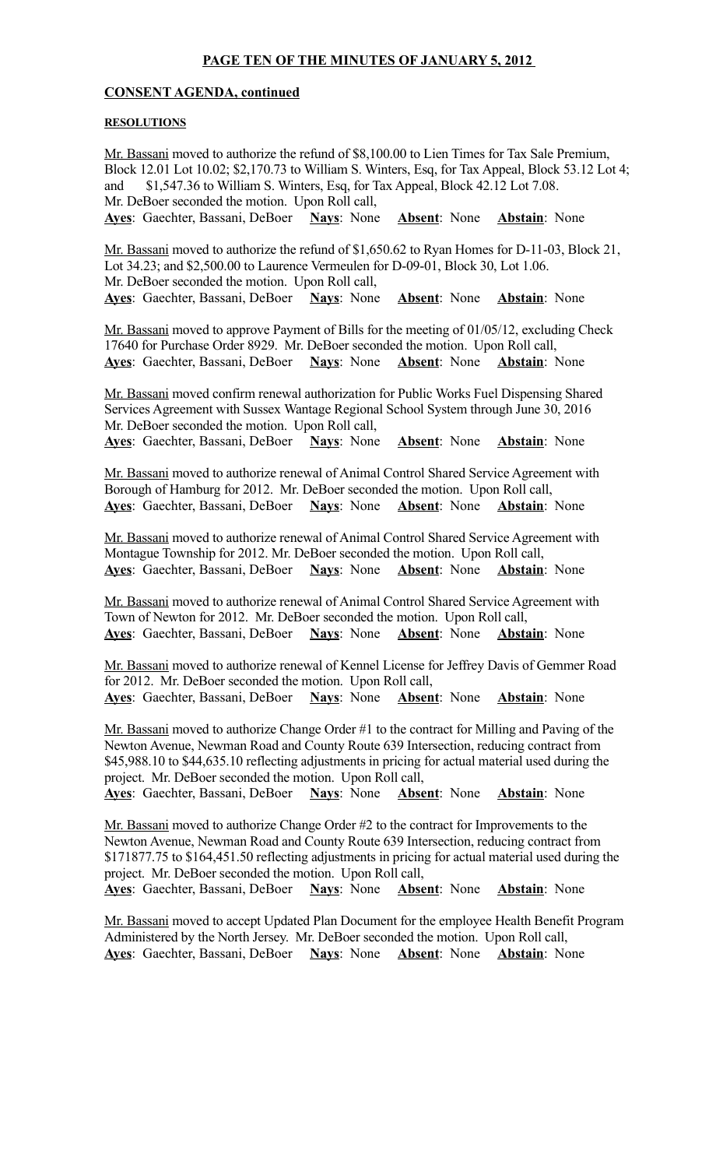## **PAGE TEN OF THE MINUTES OF JANUARY 5, 2012**

#### **CONSENT AGENDA, continued**

#### **RESOLUTIONS**

Mr. Bassani moved to authorize the refund of \$8,100.00 to Lien Times for Tax Sale Premium, Block 12.01 Lot 10.02; \$2,170.73 to William S. Winters, Esq, for Tax Appeal, Block 53.12 Lot 4; and \$1,547.36 to William S. Winters, Esq, for Tax Appeal, Block 42.12 Lot 7.08. Mr. DeBoer seconded the motion. Upon Roll call, **Ayes**: Gaechter, Bassani, DeBoer **Nays**: None **Absent**: None **Abstain**: None

Mr. Bassani moved to authorize the refund of \$1,650.62 to Ryan Homes for D-11-03, Block 21, Lot 34.23; and \$2,500.00 to Laurence Vermeulen for D-09-01, Block 30, Lot 1.06. Mr. DeBoer seconded the motion. Upon Roll call, **Ayes**: Gaechter, Bassani, DeBoer **Nays**: None **Absent**: None **Abstain**: None

Mr. Bassani moved to approve Payment of Bills for the meeting of 01/05/12, excluding Check 17640 for Purchase Order 8929. Mr. DeBoer seconded the motion. Upon Roll call, **Ayes**: Gaechter, Bassani, DeBoer **Nays**: None **Absent**: None **Abstain**: None

Mr. Bassani moved confirm renewal authorization for Public Works Fuel Dispensing Shared Services Agreement with Sussex Wantage Regional School System through June 30, 2016 Mr. DeBoer seconded the motion. Upon Roll call, **Ayes**: Gaechter, Bassani, DeBoer **Nays**: None **Absent**: None **Abstain**: None

Mr. Bassani moved to authorize renewal of Animal Control Shared Service Agreement with Borough of Hamburg for 2012. Mr. DeBoer seconded the motion. Upon Roll call, **Ayes**: Gaechter, Bassani, DeBoer **Nays**: None **Absent**: None **Abstain**: None

Mr. Bassani moved to authorize renewal of Animal Control Shared Service Agreement with Montague Township for 2012. Mr. DeBoer seconded the motion. Upon Roll call, **Ayes**: Gaechter, Bassani, DeBoer **Nays**: None **Absent**: None **Abstain**: None

Mr. Bassani moved to authorize renewal of Animal Control Shared Service Agreement with Town of Newton for 2012. Mr. DeBoer seconded the motion. Upon Roll call, **Ayes**: Gaechter, Bassani, DeBoer **Nays**: None **Absent**: None **Abstain**: None

Mr. Bassani moved to authorize renewal of Kennel License for Jeffrey Davis of Gemmer Road for 2012. Mr. DeBoer seconded the motion. Upon Roll call, **Ayes**: Gaechter, Bassani, DeBoer **Nays**: None **Absent**: None **Abstain**: None

Mr. Bassani moved to authorize Change Order #1 to the contract for Milling and Paving of the Newton Avenue, Newman Road and County Route 639 Intersection, reducing contract from \$45,988.10 to \$44,635.10 reflecting adjustments in pricing for actual material used during the project. Mr. DeBoer seconded the motion. Upon Roll call,

**Ayes**: Gaechter, Bassani, DeBoer **Nays**: None **Absent**: None **Abstain**: None

Mr. Bassani moved to authorize Change Order #2 to the contract for Improvements to the Newton Avenue, Newman Road and County Route 639 Intersection, reducing contract from \$171877.75 to \$164,451.50 reflecting adjustments in pricing for actual material used during the project. Mr. DeBoer seconded the motion. Upon Roll call,

**Ayes**: Gaechter, Bassani, DeBoer **Nays**: None **Absent**: None **Abstain**: None

Mr. Bassani moved to accept Updated Plan Document for the employee Health Benefit Program Administered by the North Jersey. Mr. DeBoer seconded the motion. Upon Roll call, **Ayes**: Gaechter, Bassani, DeBoer **Nays**: None **Absent**: None **Abstain**: None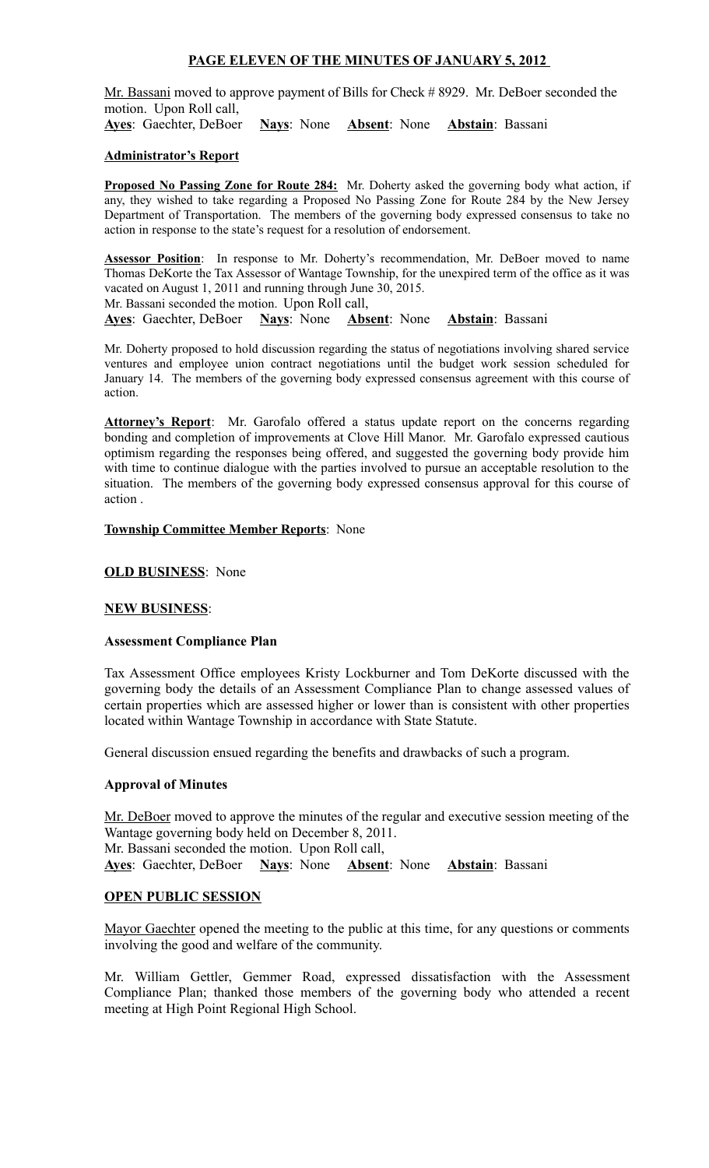## **PAGE ELEVEN OF THE MINUTES OF JANUARY 5, 2012**

Mr. Bassani moved to approve payment of Bills for Check #8929. Mr. DeBoer seconded the motion. Upon Roll call,

**Ayes**: Gaechter, DeBoer **Nays**: None **Absent**: None **Abstain**: Bassani

## **Administrator's Report**

**Proposed No Passing Zone for Route 284:** Mr. Doherty asked the governing body what action, if any, they wished to take regarding a Proposed No Passing Zone for Route 284 by the New Jersey Department of Transportation. The members of the governing body expressed consensus to take no action in response to the state's request for a resolution of endorsement.

Assessor Position: In response to Mr. Doherty's recommendation, Mr. DeBoer moved to name Thomas DeKorte the Tax Assessor of Wantage Township, for the unexpired term of the office as it was vacated on August 1, 2011 and running through June 30, 2015.

Mr. Bassani seconded the motion. Upon Roll call,

**Ayes**: Gaechter, DeBoer **Nays**: None **Absent**: None **Abstain**: Bassani

Mr. Doherty proposed to hold discussion regarding the status of negotiations involving shared service ventures and employee union contract negotiations until the budget work session scheduled for January 14. The members of the governing body expressed consensus agreement with this course of action.

Attorney's Report: Mr. Garofalo offered a status update report on the concerns regarding bonding and completion of improvements at Clove Hill Manor. Mr. Garofalo expressed cautious optimism regarding the responses being offered, and suggested the governing body provide him with time to continue dialogue with the parties involved to pursue an acceptable resolution to the situation. The members of the governing body expressed consensus approval for this course of action .

#### **Township Committee Member Reports**: None

#### **OLD BUSINESS**: None

## **NEW BUSINESS**:

## **Assessment Compliance Plan**

Tax Assessment Office employees Kristy Lockburner and Tom DeKorte discussed with the governing body the details of an Assessment Compliance Plan to change assessed values of certain properties which are assessed higher or lower than is consistent with other properties located within Wantage Township in accordance with State Statute.

General discussion ensued regarding the benefits and drawbacks of such a program.

## **Approval of Minutes**

Mr. DeBoer moved to approve the minutes of the regular and executive session meeting of the Wantage governing body held on December 8, 2011. Mr. Bassani seconded the motion. Upon Roll call, **Ayes**: Gaechter, DeBoer **Nays**: None **Absent**: None **Abstain**: Bassani

## **OPEN PUBLIC SESSION**

Mayor Gaechter opened the meeting to the public at this time, for any questions or comments involving the good and welfare of the community.

Mr. William Gettler, Gemmer Road, expressed dissatisfaction with the Assessment Compliance Plan; thanked those members of the governing body who attended a recent meeting at High Point Regional High School.